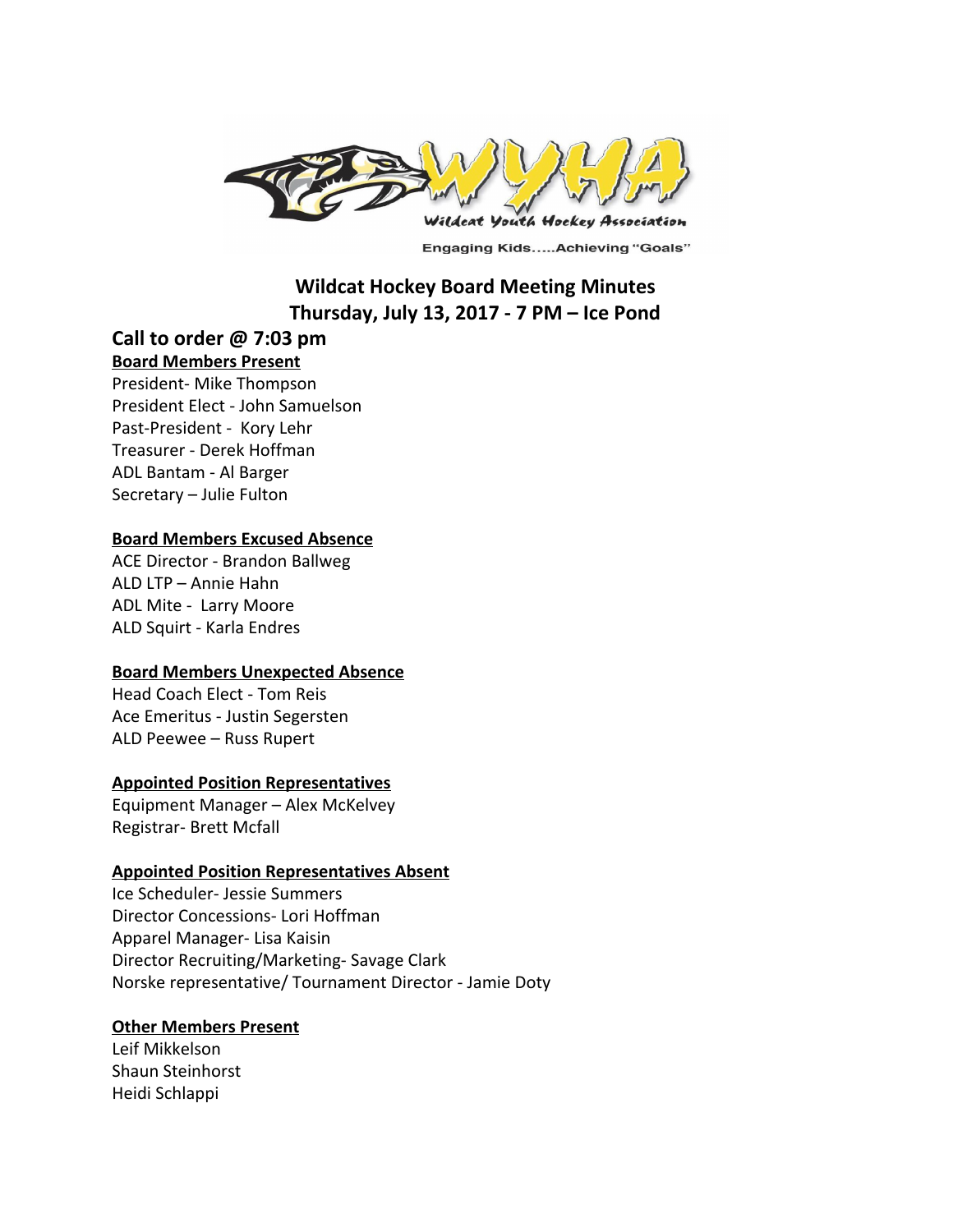

**Engaging Kids.....Achieving "Goals"** 

## **Wildcat Hockey Board Meeting Minutes Thursday, July 13, 2017 - 7 PM – Ice Pond**

# **Call to order @ 7:03 pm**

#### **Board Members Present**

President- Mike Thompson President Elect - John Samuelson Past-President - Kory Lehr Treasurer - Derek Hoffman ADL Bantam - Al Barger Secretary – Julie Fulton

#### **Board Members Excused Absence**

ACE Director - Brandon Ballweg ALD LTP – Annie Hahn ADL Mite - Larry Moore ALD Squirt - Karla Endres

## **Board Members Unexpected Absence**

Head Coach Elect - Tom Reis Ace Emeritus - Justin Segersten ALD Peewee – Russ Rupert

## **Appointed Position Representatives**

Equipment Manager – Alex McKelvey Registrar- Brett Mcfall

#### **Appointed Position Representatives Absent**

Ice Scheduler- Jessie Summers Director Concessions- Lori Hoffman Apparel Manager- Lisa Kaisin Director Recruiting/Marketing- Savage Clark Norske representative/ Tournament Director - Jamie Doty

## **Other Members Present**

Leif Mikkelson Shaun Steinhorst Heidi Schlappi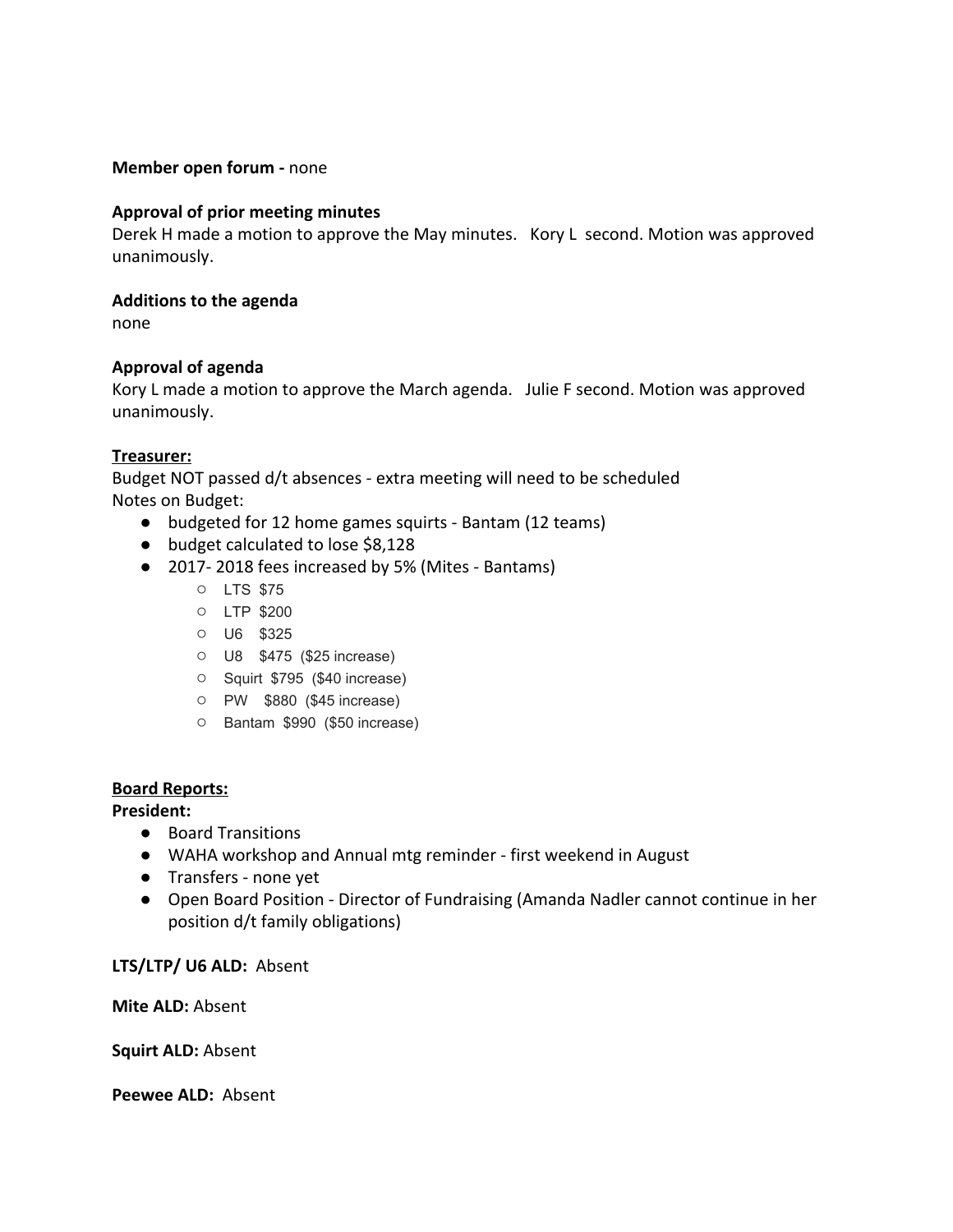#### **Member open forum -** none

#### **Approval of prior meeting minutes**

Derek H made a motion to approve the May minutes. Kory L second. Motion was approved unanimously.

#### **Additions to the agenda**

none

#### **Approval of agenda**

Kory L made a motion to approve the March agenda. Julie F second. Motion was approved unanimously.

#### **Treasurer:**

Budget NOT passed d/t absences - extra meeting will need to be scheduled Notes on Budget:

- budgeted for 12 home games squirts Bantam (12 teams)
- budget calculated to lose \$8,128
- 2017-2018 fees increased by 5% (Mites Bantams)
	- LTS \$75
	- LTP \$200
	- U6 \$325
	- U8 \$475 (\$25 increase)
	- Squirt \$795 (\$40 increase)
	- PW \$880 (\$45 increase)
	- Bantam \$990 (\$50 increase)

#### **Board Reports:**

**President:**

- Board Transitions
- WAHA workshop and Annual mtg reminder first weekend in August
- Transfers none yet
- Open Board Position Director of Fundraising (Amanda Nadler cannot continue in her position d/t family obligations)

#### **LTS/LTP/ U6 ALD:** Absent

**Mite ALD:** Absent

**Squirt ALD:** Absent

**Peewee ALD:**  Absent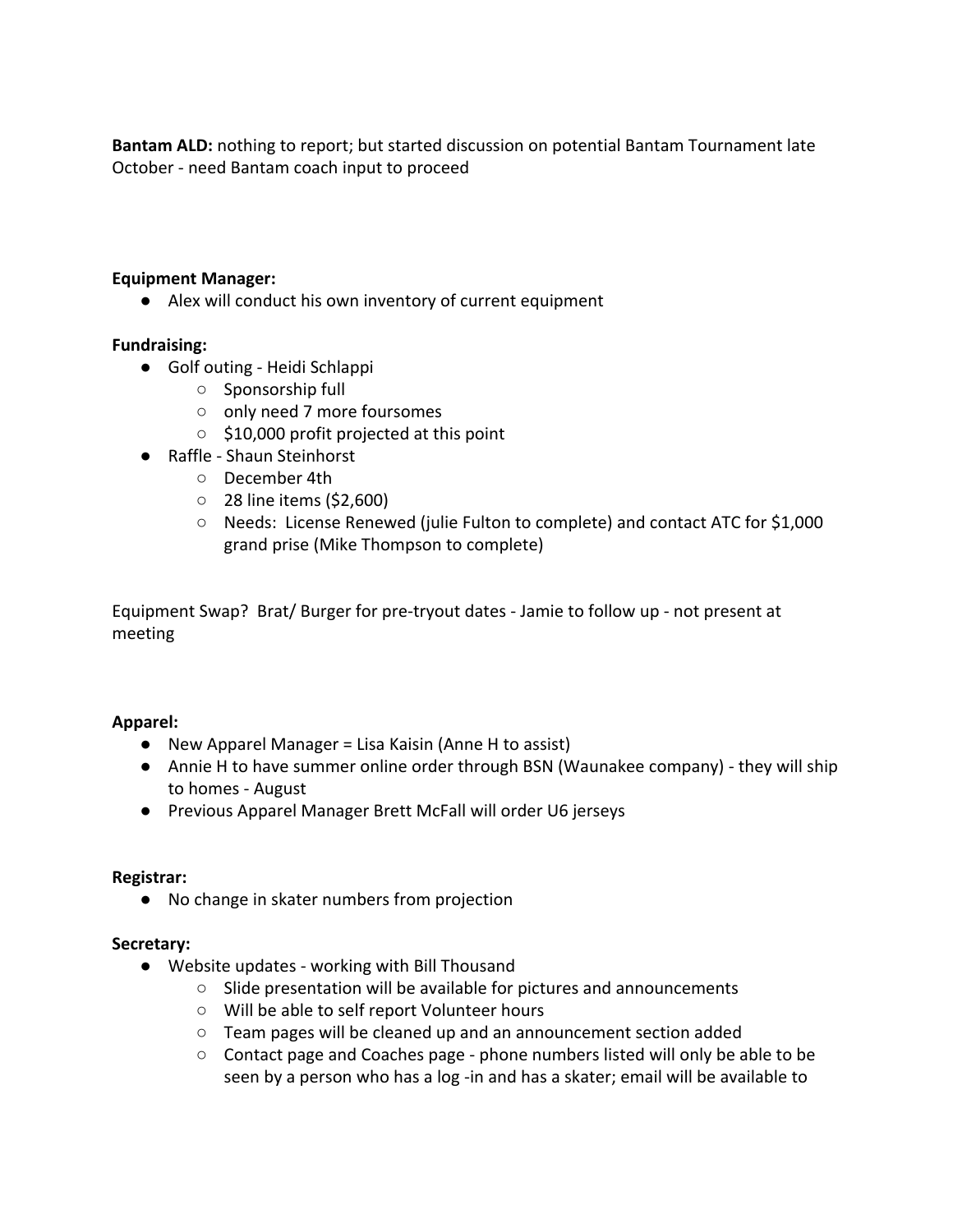**Bantam ALD:** nothing to report; but started discussion on potential Bantam Tournament late October - need Bantam coach input to proceed

## **Equipment Manager:**

● Alex will conduct his own inventory of current equipment

## **Fundraising:**

- Golf outing Heidi Schlappi
	- Sponsorship full
	- only need 7 more foursomes
	- \$10,000 profit projected at this point
- Raffle Shaun Steinhorst
	- December 4th
	- 28 line items (\$2,600)
	- Needs: License Renewed (julie Fulton to complete) and contact ATC for \$1,000 grand prise (Mike Thompson to complete)

Equipment Swap? Brat/ Burger for pre-tryout dates - Jamie to follow up - not present at meeting

## **Apparel:**

- New Apparel Manager = Lisa Kaisin (Anne H to assist)
- Annie H to have summer online order through BSN (Waunakee company) they will ship to homes - August
- Previous Apparel Manager Brett McFall will order U6 jerseys

## **Registrar:**

● No change in skater numbers from projection

## **Secretary:**

- Website updates working with Bill Thousand
	- Slide presentation will be available for pictures and announcements
	- Will be able to self report Volunteer hours
	- Team pages will be cleaned up and an announcement section added
	- Contact page and Coaches page phone numbers listed will only be able to be seen by a person who has a log -in and has a skater; email will be available to